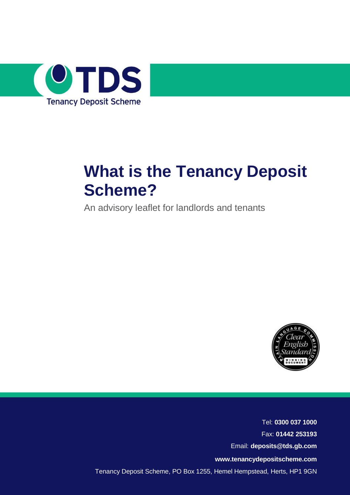

# **What is the Tenancy Deposit Scheme?**

An advisory leaflet for landlords and tenants



Tel: **0300 037 1000** Fax: **01442 253193** Email: **[deposits@tds.gb.com](mailto:deposits@tds.gb.com) [www.tenancydepositscheme.com](http://www.tds.gb.com/)** Tenancy Deposit Scheme, PO Box 1255, Hemel Hempstead, Herts, HP1 9GN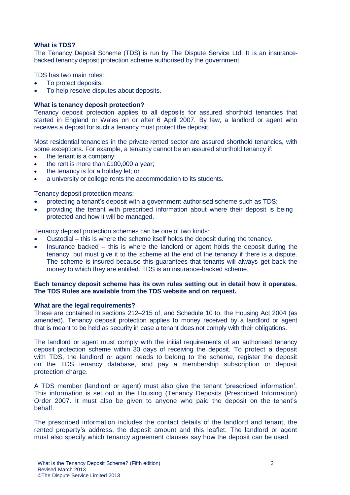# **What is TDS?**

The Tenancy Deposit Scheme (TDS) is run by The Dispute Service Ltd. It is an insurancebacked tenancy deposit protection scheme authorised by the government.

TDS has two main roles:

- To protect deposits.
- To help resolve disputes about deposits.

# **What is tenancy deposit protection?**

Tenancy deposit protection applies to all deposits for assured shorthold tenancies that started in England or Wales on or after 6 April 2007. By law, a landlord or agent who receives a deposit for such a tenancy must protect the deposit.

Most residential tenancies in the private rented sector are assured shorthold tenancies, with some exceptions. For example, a tenancy cannot be an assured shorthold tenancy if:

- the tenant is a company;
- the rent is more than £100,000 a year;
- the tenancy is for a holiday let; or
- a university or college rents the accommodation to its students.

Tenancy deposit protection means:

- protecting a tenant's deposit with a government-authorised scheme such as TDS;
- providing the tenant with prescribed information about where their deposit is being protected and how it will be managed.

Tenancy deposit protection schemes can be one of two kinds:

- Custodial this is where the scheme itself holds the deposit during the tenancy.
- Insurance backed this is where the landlord or agent holds the deposit during the tenancy, but must give it to the scheme at the end of the tenancy if there is a dispute. The scheme is insured because this guarantees that tenants will always get back the money to which they are entitled. TDS is an insurance-backed scheme.

# **Each tenancy deposit scheme has its own rules setting out in detail how it operates. The TDS Rules are available from the TDS website and on request.**

# **What are the legal requirements?**

These are contained in sections 212–215 of, and Schedule 10 to, the Housing Act 2004 (as amended). Tenancy deposit protection applies to money received by a landlord or agent that is meant to be held as security in case a tenant does not comply with their obligations.

The landlord or agent must comply with the initial requirements of an authorised tenancy deposit protection scheme within 30 days of receiving the deposit. To protect a deposit with TDS, the landlord or agent needs to belong to the scheme, register the deposit on the TDS tenancy database, and pay a membership subscription or deposit protection charge.

A TDS member (landlord or agent) must also give the tenant 'prescribed information'. This information is set out in the Housing (Tenancy Deposits (Prescribed Information) Order 2007. It must also be given to anyone who paid the deposit on the tenant's behalf.

The prescribed information includes the contact details of the landlord and tenant, the rented property's address, the deposit amount and this leaflet. The landlord or agent must also specify which tenancy agreement clauses say how the deposit can be used.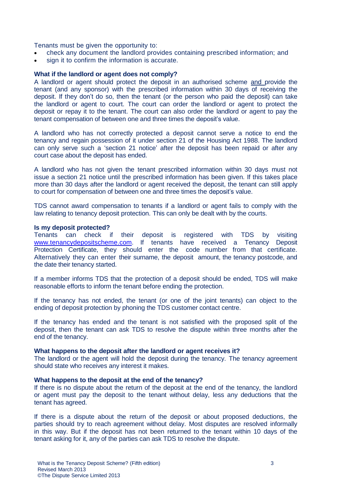Tenants must be given the opportunity to:

- check any document the landlord provides containing prescribed information; and
- sign it to confirm the information is accurate.

#### **What if the landlord or agent does not comply?**

A landlord or agent should protect the deposit in an authorised scheme and provide the tenant (and any sponsor) with the prescribed information within 30 days of receiving the deposit. If they don't do so, then the tenant (or the person who paid the deposit) can take the landlord or agent to court. The court can order the landlord or agent to protect the deposit or repay it to the tenant. The court can also order the landlord or agent to pay the tenant compensation of between one and three times the deposit's value.

A landlord who has not correctly protected a deposit cannot serve a notice to end the tenancy and regain possession of it under section 21 of the Housing Act 1988. The landlord can only serve such a 'section 21 notice' after the deposit has been repaid or after any court case about the deposit has ended.

A landlord who has not given the tenant prescribed information within 30 days must not issue a section 21 notice until the prescribed information has been given. If this takes place more than 30 days after the landlord or agent received the deposit, the tenant can still apply to court for compensation of between one and three times the deposit's value.

TDS cannot award compensation to tenants if a landlord or agent fails to comply with the law relating to tenancy deposit protection. This can only be dealt with by the courts.

#### **Is my deposit protected?**

Tenants can check if their deposit is registered with TDS by visiting [www.tenancydepositscheme.com.](http://www.tenancydepositscheme.com/) If tenants have received a Tenancy Deposit Protection Certificate, they should enter the code number from that certificate. Alternatively they can enter their surname, the deposit amount, the tenancy postcode, and the date their tenancy started.

If a member informs TDS that the protection of a deposit should be ended, TDS will make reasonable efforts to inform the tenant before ending the protection.

If the tenancy has not ended, the tenant (or one of the joint tenants) can object to the ending of deposit protection by phoning the TDS customer contact centre.

If the tenancy has ended and the tenant is not satisfied with the proposed split of the deposit, then the tenant can ask TDS to resolve the dispute within three months after the end of the tenancy.

## **What happens to the deposit after the landlord or agent receives it?**

The landlord or the agent will hold the deposit during the tenancy. The tenancy agreement should state who receives any interest it makes.

# **What happens to the deposit at the end of the tenancy?**

If there is no dispute about the return of the deposit at the end of the tenancy, the landlord or agent must pay the deposit to the tenant without delay, less any deductions that the tenant has agreed.

If there is a dispute about the return of the deposit or about proposed deductions, the parties should try to reach agreement without delay. Most disputes are resolved informally in this way. But if the deposit has not been returned to the tenant within 10 days of the tenant asking for it, any of the parties can ask TDS to resolve the dispute.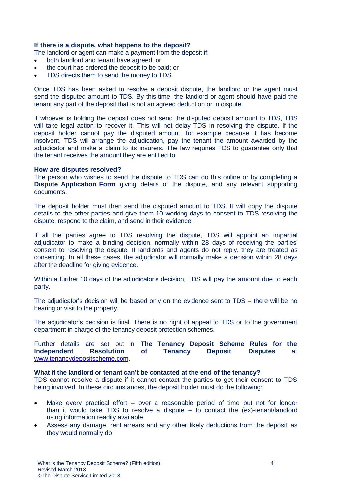# **If there is a dispute, what happens to the deposit?**

The landlord or agent can make a payment from the deposit if:

- both landlord and tenant have agreed; or
- the court has ordered the deposit to be paid; or
- TDS directs them to send the money to TDS.

Once TDS has been asked to resolve a deposit dispute, the landlord or the agent must send the disputed amount to TDS. By this time, the landlord or agent should have paid the tenant any part of the deposit that is not an agreed deduction or in dispute.

If whoever is holding the deposit does not send the disputed deposit amount to TDS, TDS will take legal action to recover it. This will not delay TDS in resolving the dispute. If the deposit holder cannot pay the disputed amount, for example because it has become insolvent, TDS will arrange the adjudication, pay the tenant the amount awarded by the adjudicator and make a claim to its insurers. The law requires TDS to guarantee only that the tenant receives the amount they are entitled to.

## **How are disputes resolved?**

The person who wishes to send the dispute to TDS can do this online or by completing a **Dispute Application Form** giving details of the dispute, and any relevant supporting documents.

The deposit holder must then send the disputed amount to TDS. It will copy the dispute details to the other parties and give them 10 working days to consent to TDS resolving the dispute, respond to the claim, and send in their evidence.

If all the parties agree to TDS resolving the dispute, TDS will appoint an impartial adjudicator to make a binding decision, normally within 28 days of receiving the parties' consent to resolving the dispute. If landlords and agents do not reply, they are treated as consenting. In all these cases, the adjudicator will normally make a decision within 28 days after the deadline for giving evidence.

Within a further 10 days of the adjudicator's decision, TDS will pay the amount due to each party.

The adjudicator's decision will be based only on the evidence sent to TDS – there will be no hearing or visit to the property.

The adjudicator's decision is final. There is no right of appeal to TDS or to the government department in charge of the tenancy deposit protection schemes.

Further details are set out in **The Tenancy Deposit Scheme Rules for the Independent Resolution of Tenancy Deposit Disputes** at [www.tenancydepositscheme.com.](http://www.tenancydepositscheme.com/)

## **What if the landlord or tenant can't be contacted at the end of the tenancy?**

TDS cannot resolve a dispute if it cannot contact the parties to get their consent to TDS being involved. In these circumstances, the deposit holder must do the following:

- Make every practical effort over a reasonable period of time but not for longer than it would take TDS to resolve a dispute – to contact the (ex)-tenant/landlord using information readily available.
- Assess any damage, rent arrears and any other likely deductions from the deposit as they would normally do.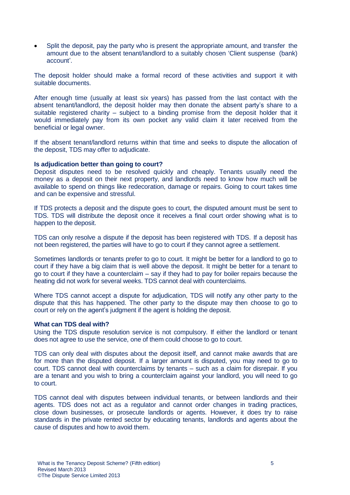Split the deposit, pay the party who is present the appropriate amount, and transfer the amount due to the absent tenant/landlord to a suitably chosen 'Client suspense (bank) account'.

The deposit holder should make a formal record of these activities and support it with suitable documents.

After enough time (usually at least six years) has passed from the last contact with the absent tenant/landlord, the deposit holder may then donate the absent party's share to a suitable registered charity – subject to a binding promise from the deposit holder that it would immediately pay from its own pocket any valid claim it later received from the beneficial or legal owner.

If the absent tenant/landlord returns within that time and seeks to dispute the allocation of the deposit, TDS may offer to adjudicate.

# **Is adjudication better than going to court?**

Deposit disputes need to be resolved quickly and cheaply. Tenants usually need the money as a deposit on their next property, and landlords need to know how much will be available to spend on things like redecoration, damage or repairs. Going to court takes time and can be expensive and stressful.

If TDS protects a deposit and the dispute goes to court, the disputed amount must be sent to TDS. TDS will distribute the deposit once it receives a final court order showing what is to happen to the deposit.

TDS can only resolve a dispute if the deposit has been registered with TDS. If a deposit has not been registered, the parties will have to go to court if they cannot agree a settlement.

Sometimes landlords or tenants prefer to go to court. It might be better for a landlord to go to court if they have a big claim that is well above the deposit. It might be better for a tenant to go to court if they have a counterclaim – say if they had to pay for boiler repairs because the heating did not work for several weeks. TDS cannot deal with counterclaims.

Where TDS cannot accept a dispute for adjudication, TDS will notify any other party to the dispute that this has happened. The other party to the dispute may then choose to go to court or rely on the agent's judgment if the agent is holding the deposit.

## **What can TDS deal with?**

Using the TDS dispute resolution service is not compulsory. If either the landlord or tenant does not agree to use the service, one of them could choose to go to court.

TDS can only deal with disputes about the deposit itself, and cannot make awards that are for more than the disputed deposit. If a larger amount is disputed, you may need to go to court. TDS cannot deal with counterclaims by tenants – such as a claim for disrepair. If you are a tenant and you wish to bring a counterclaim against your landlord, you will need to go to court.

TDS cannot deal with disputes between individual tenants, or between landlords and their agents. TDS does not act as a regulator and cannot order changes in trading practices, close down businesses, or prosecute landlords or agents. However, it does try to raise standards in the private rented sector by educating tenants, landlords and agents about the cause of disputes and how to avoid them.